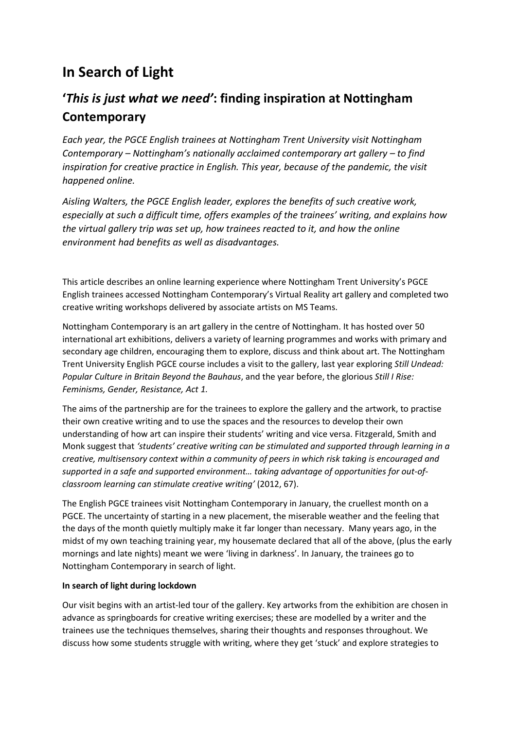# **In Search of Light**

## **'***This is just what we need'***: finding inspiration at Nottingham Contemporary**

*Each year, the PGCE English trainees at Nottingham Trent University visit Nottingham Contemporary – Nottingham's nationally acclaimed contemporary art gallery – to find inspiration for creative practice in English. This year, because of the pandemic, the visit happened online.*

*Aisling Walters, the PGCE English leader, explores the benefits of such creative work, especially at such a difficult time, offers examples of the trainees' writing, and explains how the virtual gallery trip was set up, how trainees reacted to it, and how the online environment had benefits as well as disadvantages.*

This article describes an online learning experience where Nottingham Trent University's PGCE English trainees accessed Nottingham Contemporary's Virtual Reality art gallery and completed two creative writing workshops delivered by associate artists on MS Teams.

Nottingham Contemporary is an art gallery in the centre of Nottingham. It has hosted over 50 international art exhibitions, delivers a variety of learning programmes and works with primary and secondary age children, encouraging them to explore, discuss and think about art. The Nottingham Trent University English PGCE course includes a visit to the gallery, last year exploring *Still Undead: Popular Culture in Britain Beyond the Bauhaus*, and the year before, the glorious *Still I Rise: Feminisms, Gender, Resistance, Act 1.*

The aims of the partnership are for the trainees to explore the gallery and the artwork, to practise their own creative writing and to use the spaces and the resources to develop their own understanding of how art can inspire their students' writing and vice versa. Fitzgerald, Smith and Monk suggest that *'students' creative writing can be stimulated and supported through learning in a creative, multisensory context within a community of peers in which risk taking is encouraged and supported in a safe and supported environment… taking advantage of opportunities for out-ofclassroom learning can stimulate creative writing'* (2012, 67).

The English PGCE trainees visit Nottingham Contemporary in January, the cruellest month on a PGCE. The uncertainty of starting in a new placement, the miserable weather and the feeling that the days of the month quietly multiply make it far longer than necessary. Many years ago, in the midst of my own teaching training year, my housemate declared that all of the above, (plus the early mornings and late nights) meant we were 'living in darkness'. In January, the trainees go to Nottingham Contemporary in search of light.

## **In search of light during lockdown**

Our visit begins with an artist-led tour of the gallery. Key artworks from the exhibition are chosen in advance as springboards for creative writing exercises; these are modelled by a writer and the trainees use the techniques themselves, sharing their thoughts and responses throughout. We discuss how some students struggle with writing, where they get 'stuck' and explore strategies to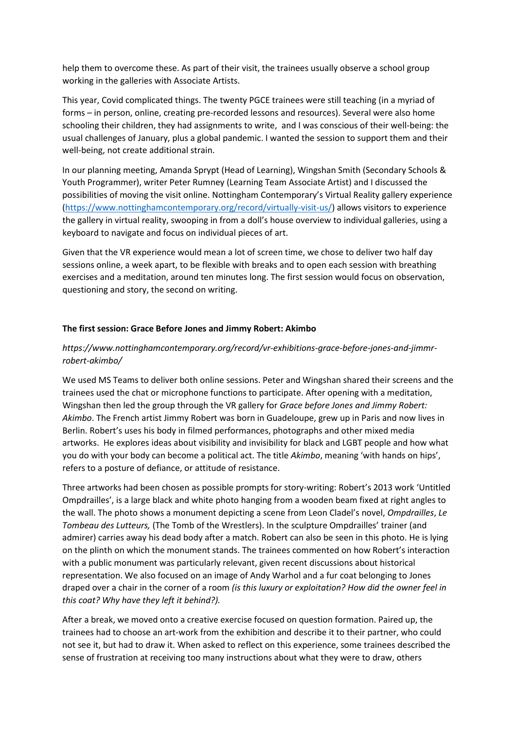help them to overcome these. As part of their visit, the trainees usually observe a school group working in the galleries with Associate Artists.

This year, Covid complicated things. The twenty PGCE trainees were still teaching (in a myriad of forms – in person, online, creating pre-recorded lessons and resources). Several were also home schooling their children, they had assignments to write, and I was conscious of their well-being: the usual challenges of January, plus a global pandemic. I wanted the session to support them and their well-being, not create additional strain.

In our planning meeting, Amanda Sprypt (Head of Learning), Wingshan Smith (Secondary Schools & Youth Programmer), writer Peter Rumney (Learning Team Associate Artist) and I discussed the possibilities of moving the visit online. Nottingham Contemporary's Virtual Reality gallery experience [\(https://www.nottinghamcontemporary.org/record/virtually-visit-us/\)](https://www.nottinghamcontemporary.org/record/virtually-visit-us/) allows visitors to experience the gallery in virtual reality, swooping in from a doll's house overview to individual galleries, using a keyboard to navigate and focus on individual pieces of art.

Given that the VR experience would mean a lot of screen time, we chose to deliver two half day sessions online, a week apart, to be flexible with breaks and to open each session with breathing exercises and a meditation, around ten minutes long. The first session would focus on observation, questioning and story, the second on writing.

#### **The first session: Grace Before Jones and Jimmy Robert: Akimbo**

### *https://www.nottinghamcontemporary.org/record/vr-exhibitions-grace-before-jones-and-jimmrrobert-akimbo/*

We used MS Teams to deliver both online sessions. Peter and Wingshan shared their screens and the trainees used the chat or microphone functions to participate. After opening with a meditation, Wingshan then led the group through the VR gallery for *Grace before Jones and Jimmy Robert: Akimbo*. The French artist Jimmy Robert was born in Guadeloupe, grew up in Paris and now lives in Berlin. Robert's uses his body in filmed performances, photographs and other mixed media artworks. He explores ideas about visibility and invisibility for black and LGBT people and how what you do with your body can become a political act. The title *Akimbo*, meaning 'with hands on hips', refers to a posture of defiance, or attitude of resistance.

Three artworks had been chosen as possible prompts for story-writing: Robert's 2013 work 'Untitled Ompdrailles', is a large black and white photo hanging from a wooden beam fixed at right angles to the wall. The photo shows a monument depicting a scene from Leon Cladel's novel, *Ompdrailles*, *Le Tombeau des Lutteurs,* (The Tomb of the Wrestlers). In the sculpture Ompdrailles' trainer (and admirer) carries away his dead body after a match. Robert can also be seen in this photo. He is lying on the plinth on which the monument stands. The trainees commented on how Robert's interaction with a public monument was particularly relevant, given recent discussions about historical representation. We also focused on an image of Andy Warhol and a fur coat belonging to Jones draped over a chair in the corner of a room *(is this luxury or exploitation? How did the owner feel in this coat? Why have they left it behind?).*

After a break, we moved onto a creative exercise focused on question formation. Paired up, the trainees had to choose an art-work from the exhibition and describe it to their partner, who could not see it, but had to draw it. When asked to reflect on this experience, some trainees described the sense of frustration at receiving too many instructions about what they were to draw, others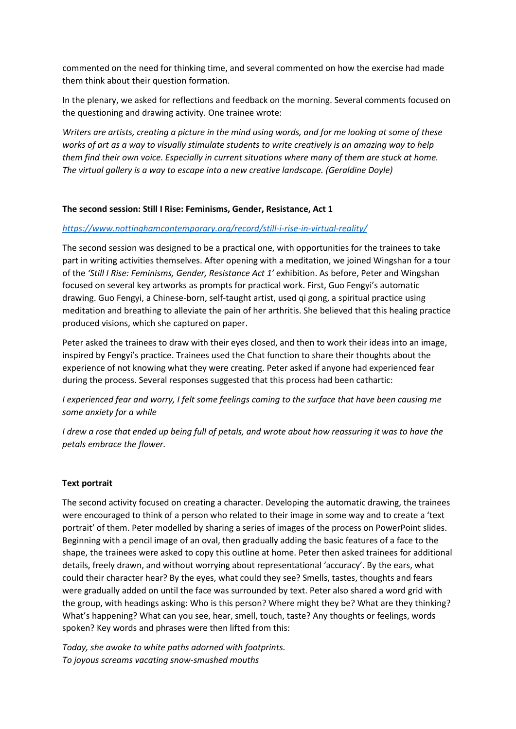commented on the need for thinking time, and several commented on how the exercise had made them think about their question formation.

In the plenary, we asked for reflections and feedback on the morning. Several comments focused on the questioning and drawing activity. One trainee wrote:

*Writers are artists, creating a picture in the mind using words, and for me looking at some of these works of art as a way to visually stimulate students to write creatively is an amazing way to help them find their own voice. Especially in current situations where many of them are stuck at home. The virtual gallery is a way to escape into a new creative landscape. (Geraldine Doyle)*

#### **The second session: Still I Rise: Feminisms, Gender, Resistance, Act 1**

#### *<https://www.nottinghamcontemporary.org/record/still-i-rise-in-virtual-reality/>*

The second session was designed to be a practical one, with opportunities for the trainees to take part in writing activities themselves. After opening with a meditation, we joined Wingshan for a tour of the *'Still I Rise: Feminisms, Gender, Resistance Act 1'* exhibition. As before, Peter and Wingshan focused on several key artworks as prompts for practical work. First, Guo Fengyi's automatic drawing. Guo Fengyi, a Chinese-born, self-taught artist, used qi gong, a spiritual practice using meditation and breathing to alleviate the pain of her arthritis. She believed that this healing practice produced visions, which she captured on paper.

Peter asked the trainees to draw with their eyes closed, and then to work their ideas into an image, inspired by Fengyi's practice. Trainees used the Chat function to share their thoughts about the experience of not knowing what they were creating. Peter asked if anyone had experienced fear during the process. Several responses suggested that this process had been cathartic:

*I experienced fear and worry, I felt some feelings coming to the surface that have been causing me some anxiety for a while*

*I drew a rose that ended up being full of petals, and wrote about how reassuring it was to have the petals embrace the flower.*

#### **Text portrait**

The second activity focused on creating a character. Developing the automatic drawing, the trainees were encouraged to think of a person who related to their image in some way and to create a 'text portrait' of them. Peter modelled by sharing a series of images of the process on PowerPoint slides. Beginning with a pencil image of an oval, then gradually adding the basic features of a face to the shape, the trainees were asked to copy this outline at home. Peter then asked trainees for additional details, freely drawn, and without worrying about representational 'accuracy'. By the ears, what could their character hear? By the eyes, what could they see? Smells, tastes, thoughts and fears were gradually added on until the face was surrounded by text. Peter also shared a word grid with the group, with headings asking: Who is this person? Where might they be? What are they thinking? What's happening? What can you see, hear, smell, touch, taste? Any thoughts or feelings, words spoken? Key words and phrases were then lifted from this:

*Today, she awoke to white paths adorned with footprints. To joyous screams vacating snow-smushed mouths*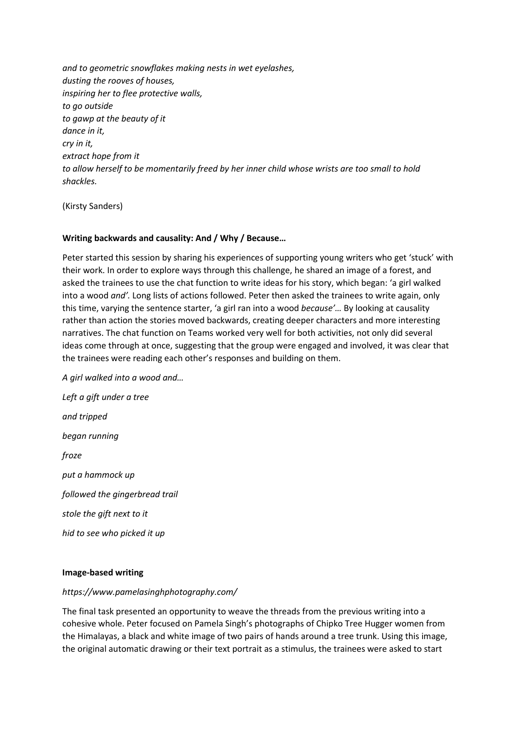*and to geometric snowflakes making nests in wet eyelashes, dusting the rooves of houses, inspiring her to flee protective walls, to go outside to gawp at the beauty of it dance in it, cry in it, extract hope from it to allow herself to be momentarily freed by her inner child whose wrists are too small to hold shackles.*

(Kirsty Sanders)

#### **Writing backwards and causality: And / Why / Because…**

Peter started this session by sharing his experiences of supporting young writers who get 'stuck' with their work. In order to explore ways through this challenge, he shared an image of a forest, and asked the trainees to use the chat function to write ideas for his story, which began: 'a girl walked into a wood *and'.* Long lists of actions followed. Peter then asked the trainees to write again, only this time, varying the sentence starter, 'a girl ran into a wood *because'…* By looking at causality rather than action the stories moved backwards, creating deeper characters and more interesting narratives. The chat function on Teams worked very well for both activities, not only did several ideas come through at once, suggesting that the group were engaged and involved, it was clear that the trainees were reading each other's responses and building on them.

*A girl walked into a wood and… Left a gift under a tree and tripped began running froze put a hammock up followed the gingerbread trail stole the gift next to it hid to see who picked it up* 

#### **Image-based writing**

#### *https://www.pamelasinghphotography.com/*

The final task presented an opportunity to weave the threads from the previous writing into a cohesive whole. Peter focused on Pamela Singh's photographs of Chipko Tree Hugger women from the Himalayas, a black and white image of two pairs of hands around a tree trunk. Using this image, the original automatic drawing or their text portrait as a stimulus, the trainees were asked to start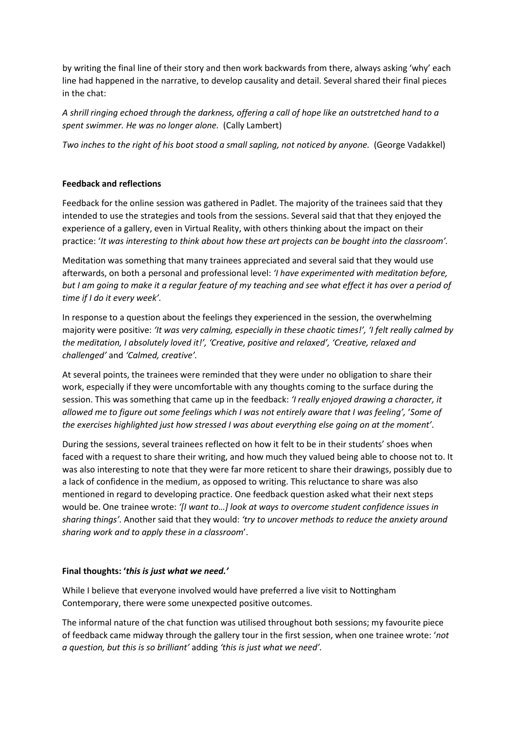by writing the final line of their story and then work backwards from there, always asking 'why' each line had happened in the narrative, to develop causality and detail. Several shared their final pieces in the chat:

*A shrill ringing echoed through the darkness, offering a call of hope like an outstretched hand to a spent swimmer. He was no longer alone.* (Cally Lambert)

*Two inches to the right of his boot stood a small sapling, not noticed by anyone.* (George Vadakkel)

#### **Feedback and reflections**

Feedback for the online session was gathered in Padlet. The majority of the trainees said that they intended to use the strategies and tools from the sessions. Several said that that they enjoyed the experience of a gallery, even in Virtual Reality, with others thinking about the impact on their practice: '*It was interesting to think about how these art projects can be bought into the classroom'.*

Meditation was something that many trainees appreciated and several said that they would use afterwards, on both a personal and professional level: *'I have experimented with meditation before, but I am going to make it a regular feature of my teaching and see what effect it has over a period of time if I do it every week'.*

In response to a question about the feelings they experienced in the session, the overwhelming majority were positive: *'It was very calming, especially in these chaotic times!', 'I felt really calmed by the meditation, I absolutely loved it!', 'Creative, positive and relaxed', 'Creative, relaxed and challenged'* and *'Calmed, creative'.*

At several points, the trainees were reminded that they were under no obligation to share their work, especially if they were uncomfortable with any thoughts coming to the surface during the session. This was something that came up in the feedback: *'I really enjoyed drawing a character, it allowed me to figure out some feelings which I was not entirely aware that I was feeling',* '*Some of the exercises highlighted just how stressed I was about everything else going on at the moment'*.

During the sessions, several trainees reflected on how it felt to be in their students' shoes when faced with a request to share their writing, and how much they valued being able to choose not to. It was also interesting to note that they were far more reticent to share their drawings, possibly due to a lack of confidence in the medium, as opposed to writing. This reluctance to share was also mentioned in regard to developing practice. One feedback question asked what their next steps would be. One trainee wrote: *'[I want to…] look at ways to overcome student confidence issues in sharing things'.* Another said that they would: *'try to uncover methods to reduce the anxiety around sharing work and to apply these in a classroom*'.

#### **Final thoughts: '***this is just what we need.'*

While I believe that everyone involved would have preferred a live visit to Nottingham Contemporary, there were some unexpected positive outcomes.

The informal nature of the chat function was utilised throughout both sessions; my favourite piece of feedback came midway through the gallery tour in the first session, when one trainee wrote: '*not a question, but this is so brilliant'* adding *'this is just what we need'.*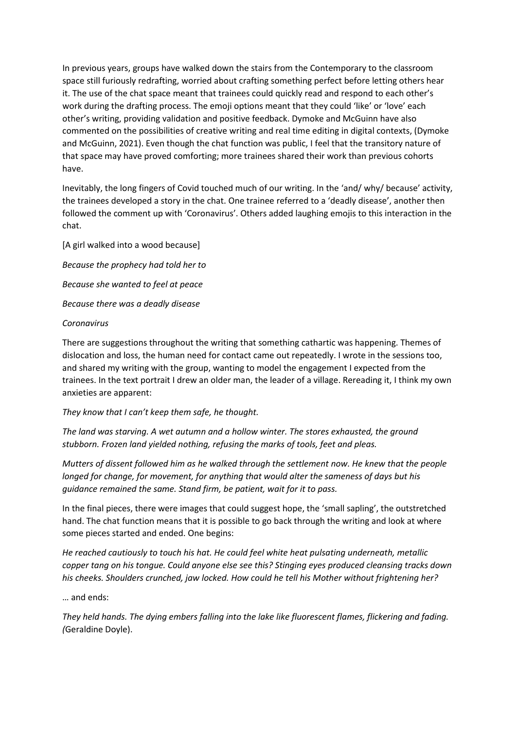In previous years, groups have walked down the stairs from the Contemporary to the classroom space still furiously redrafting, worried about crafting something perfect before letting others hear it. The use of the chat space meant that trainees could quickly read and respond to each other's work during the drafting process. The emoji options meant that they could 'like' or 'love' each other's writing, providing validation and positive feedback. Dymoke and McGuinn have also commented on the possibilities of creative writing and real time editing in digital contexts, (Dymoke and McGuinn, 2021). Even though the chat function was public, I feel that the transitory nature of that space may have proved comforting; more trainees shared their work than previous cohorts have.

Inevitably, the long fingers of Covid touched much of our writing. In the 'and/ why/ because' activity, the trainees developed a story in the chat. One trainee referred to a 'deadly disease', another then followed the comment up with 'Coronavirus'. Others added laughing emojis to this interaction in the chat.

[A girl walked into a wood because] *Because the prophecy had told her to Because she wanted to feel at peace Because there was a deadly disease* 

#### *Coronavirus*

There are suggestions throughout the writing that something cathartic was happening. Themes of dislocation and loss, the human need for contact came out repeatedly. I wrote in the sessions too, and shared my writing with the group, wanting to model the engagement I expected from the trainees. In the text portrait I drew an older man, the leader of a village. Rereading it, I think my own anxieties are apparent:

#### *They know that I can't keep them safe, he thought.*

*The land was starving. A wet autumn and a hollow winter. The stores exhausted, the ground stubborn. Frozen land yielded nothing, refusing the marks of tools, feet and pleas.* 

*Mutters of dissent followed him as he walked through the settlement now. He knew that the people longed for change, for movement, for anything that would alter the sameness of days but his guidance remained the same. Stand firm, be patient, wait for it to pass.* 

In the final pieces, there were images that could suggest hope, the 'small sapling', the outstretched hand. The chat function means that it is possible to go back through the writing and look at where some pieces started and ended. One begins:

*He reached cautiously to touch his hat. He could feel white heat pulsating underneath, metallic copper tang on his tongue. Could anyone else see this? Stinging eyes produced cleansing tracks down*  his cheeks. Shoulders crunched, jaw locked. How could he tell his Mother without frightening her?

… and ends:

*They held hands. The dying embers falling into the lake like fluorescent flames, flickering and fading. (*Geraldine Doyle).